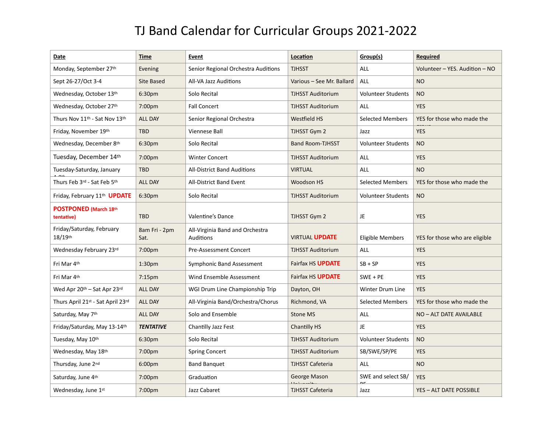## TJ Band Calendar for Curricular Groups 2021-2022

| Date                                                  | <b>Time</b>           | <b>Event</b>                                 | Location                  | Group(s)                  | <b>Required</b>                |
|-------------------------------------------------------|-----------------------|----------------------------------------------|---------------------------|---------------------------|--------------------------------|
| Monday, September 27th                                | Evening               | Senior Regional Orchestra Auditions          | <b>TJHSST</b>             | <b>ALL</b>                | Volunteer – YES. Audition – NO |
| Sept 26-27/Oct 3-4                                    | Site Based            | All-VA Jazz Auditions                        | Various - See Mr. Ballard | ALL                       | <b>NO</b>                      |
| Wednesday, October 13th                               | 6:30pm                | Solo Recital                                 | <b>TJHSST Auditorium</b>  | <b>Volunteer Students</b> | <b>NO</b>                      |
| Wednesday, October 27th                               | 7:00pm                | <b>Fall Concert</b>                          | <b>TJHSST Auditorium</b>  | <b>ALL</b>                | <b>YES</b>                     |
| Thurs Nov 11 <sup>th</sup> - Sat Nov 13 <sup>th</sup> | <b>ALL DAY</b>        | Senior Regional Orchestra                    | <b>Westfield HS</b>       | <b>Selected Members</b>   | YES for those who made the     |
| Friday, November 19th                                 | <b>TBD</b>            | Viennese Ball                                | TJHSST Gym 2              | Jazz                      | <b>YES</b>                     |
| Wednesday, December 8th                               | 6:30 <sub>pm</sub>    | Solo Recital                                 | <b>Band Room-TJHSST</b>   | <b>Volunteer Students</b> | <b>NO</b>                      |
| Tuesday, December 14th                                | 7:00pm                | <b>Winter Concert</b>                        | <b>TJHSST Auditorium</b>  | ALL                       | <b>YES</b>                     |
| Tuesday-Saturday, January                             | <b>TBD</b>            | <b>All-District Band Auditions</b>           | <b>VIRTUAL</b>            | <b>ALL</b>                | <b>NO</b>                      |
| Thurs Feb 3rd - Sat Feb 5th                           | <b>ALL DAY</b>        | <b>All-District Band Event</b>               | <b>Woodson HS</b>         | <b>Selected Members</b>   | YES for those who made the     |
| Friday, February 11 <sup>th</sup> <b>UPDATE</b>       | 6:30 <sub>pm</sub>    | Solo Recital                                 | <b>TJHSST Auditorium</b>  | <b>Volunteer Students</b> | <b>NO</b>                      |
| POSTPONED (March 18th<br>tentative)                   | <b>TBD</b>            | Valentine's Dance                            | TJHSST Gym 2              | JE                        | <b>YES</b>                     |
| Friday/Saturday, February<br>$18/19$ <sup>th</sup>    | 8am Fri - 2pm<br>Sat. | All-Virginia Band and Orchestra<br>Auditions | <b>VIRTUAL UPDATE</b>     | <b>Eligible Members</b>   | YES for those who are eligible |
| Wednesday February 23rd                               | 7:00 <sub>pm</sub>    | <b>Pre-Assessment Concert</b>                | <b>TJHSST Auditorium</b>  | ALL                       | <b>YES</b>                     |
| Fri Mar 4th                                           | 1:30 <sub>pm</sub>    | Symphonic Band Assessment                    | <b>Fairfax HS UPDATE</b>  | $SB + SP$                 | <b>YES</b>                     |
| Fri Mar 4th                                           | 7:15 <sub>pm</sub>    | Wind Ensemble Assessment                     | Fairfax HS <b>UPDATE</b>  | $SWE + PE$                | <b>YES</b>                     |
| Wed Apr 20th – Sat Apr 23rd                           | <b>ALL DAY</b>        | WGI Drum Line Championship Trip              | Dayton, OH                | Winter Drum Line          | <b>YES</b>                     |
| Thurs April 21st - Sat April 23rd                     | <b>ALL DAY</b>        | All-Virginia Band/Orchestra/Chorus           | Richmond, VA              | <b>Selected Members</b>   | YES for those who made the     |
| Saturday, May 7th                                     | <b>ALL DAY</b>        | Solo and Ensemble                            | <b>Stone MS</b>           | ALL                       | NO - ALT DATE AVAILABLE        |
| Friday/Saturday, May 13-14th                          | <b>TENTATIVE</b>      | Chantilly Jazz Fest                          | <b>Chantilly HS</b>       | <b>JE</b>                 | <b>YES</b>                     |
| Tuesday, May 10th                                     | 6:30pm                | Solo Recital                                 | <b>TJHSST Auditorium</b>  | <b>Volunteer Students</b> | <b>NO</b>                      |
| Wednesday, May 18th                                   | 7:00 <sub>pm</sub>    | <b>Spring Concert</b>                        | TJHSST Auditorium         | SB/SWE/SP/PE              | <b>YES</b>                     |
| Thursday, June 2nd                                    | 6:00pm                | <b>Band Banquet</b>                          | <b>TJHSST Cafeteria</b>   | <b>ALL</b>                | <b>NO</b>                      |
| Saturday, June 4th                                    | 7:00 <sub>pm</sub>    | Graduation                                   | George Mason              | SWE and select SB/        | <b>YES</b>                     |
| Wednesday, June 1st                                   | 7:00pm                | Jazz Cabaret                                 | <b>TJHSST Cafeteria</b>   | Jazz                      | <b>YES - ALT DATE POSSIBLE</b> |